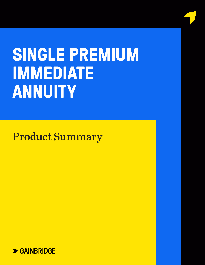# **SINGLE PREMIUM IMMEDIATE ANNUITY**

Issued by Guggenheim Life and Annual Company Company Company Company Company Company Company Company Company Company Company Company Company Company Company Company Company Company Company Company Company Company Company C 401 Pennsylvania parkway, suite 3001 Pennsylvania parkway, suite 3001 Pennsylvania parkway, suite 3001 Pennsylvania

Gainbridge.Life — team@support.gainbridge.life

Indianapolis, in 46280

(866) 252-9439

Product Summary

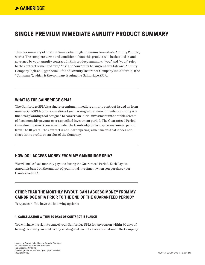# **SINGLE PREMIUM IMMEDIATE ANNUITY PRODUCT SUMMARY**

This is a summary of how the Gainbridge Single Premium Immediate Annuity ("SPIA") works. The complete terms and conditions about this product will be detailed in and governed by your annuity contract. In this product summary, "you" and "your" refer to the contract owner and "we," "us" and "our" refer to Guggenheim Life and Annuity Company (d/b/a Guggenheim Life and Annuity Insurance Company in California) (the "Company"), which is the company issuing the Gainbridge SPIA.

#### **WHAT IS THE GAINBRIDGE SPIA?**

The Gainbridge SPIA is a single-premium immediate annuity contract issued on form number GB-SPIA-01 or a variation of such. A single-premium immediate annuity is a financial planning tool designed to convert an initial investment into a stable stream of fixed monthly payouts over a specified investment period. The Guaranteed Period (investment period) you select under the Gainbridge SPIA may be any annual period from 3 to 10 years. The contract is non-participating, which means that it does not share in the profits or surplus of the Company.

### **HOW DO I ACCESS MONEY FROM MY GAINBRIDGE SPIA?**

We will make fixed monthly payouts during the Guaranteed Period. Each Payout Amount is based on the amount of your initial investment when you purchase your Gainbridge SPIA.

# **OTHER THAN THE MONTHLY PAYOUT, CAN I ACCESS MONEY FROM MY GAINBRIDGE SPIA PRIOR TO THE END OF THE GUARANTEED PERIOD?**

Yes, you can. You have the following options:

#### **1. CANCELLATION WITHIN 30 DAYS OF CONTRACT ISSUANCE**

You will have the right to cancel your Gainbridge SPIA for any reason within 30 days of having received your contract by sending written notice of cancellation to the Company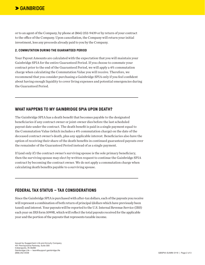or to an agent of the Company, by phone at (866) 252-9439 or by return of your contract to the office of the Company. Upon cancellation, the Company will return your initial investment, less any proceeds already paid to you by the Company.

#### **2. COMMUTATION DURING THE GUARANTEED PERIOD**

Your Payout Amounts are calculated with the expectation that you will maintain your Gainbridge SPIA for the entire Guaranteed Period. If you choose to commute your contract prior to the end of the Guaranteed Period, we will apply a 4% commutation charge when calculating the Commutation Value you will receive. Therefore, we recommend that you consider purchasing a Gainbridge SPIA only if you feel confident about having enough liquidity to cover living expenses and potential emergencies during the Guaranteed Period.

# **WHAT HAPPENS TO MY GAINBRIDGE SPIA UPON DEATH?**

The Gainbridge SPIA has a death benefit that becomes payable to the designated beneficiaries if any contract owner or joint-owner dies before the last scheduled payout date under the contract. The death benefit is paid in a single payment equal to the Commutation Value (which includes a 4% commutation charge) on the date of the deceased contract owner's death, plus any applicable interest. Beneficiaries also have the option of receiving their share of the death benefits in continued guaranteed payouts over the remainder of the Guaranteed Period instead of as a single payment.

If (and only if) the contract owner's surviving spouse is the sole primary beneficiary, then the surviving spouse may elect by written request to continue the Gainbridge SPIA contract by becoming the contract owner. We do not apply a commutation charge when calculating death benefits payable to a surviving spouse.

# **FEDERAL TAX STATUS – TAX CONSIDERATIONS**

Since the Gainbridge SPIA is purchased with after-tax dollars, each of the payouts you receive will represent a combination of both return of principal (dollars which have previously been taxed) and interest. Your payouts will be reported to the U.S. Internal Revenue Service (IRS) each year on IRS form 1099R, which will reflect the total payouts received for the applicable year and the portion of the payouts that represents taxable income.